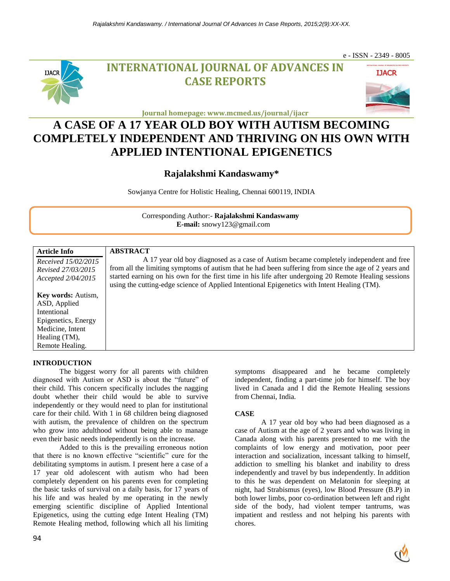

# **INTERNATIONAL JOURNAL OF ADVANCES IN CASE REPORTS**



e - ISSN - 2349 - 8005

**Journal homepage: www.mcmed.us/journal/ijacr**

# **A CASE OF A 17 YEAR OLD BOY WITH AUTISM BECOMING COMPLETELY INDEPENDENT AND THRIVING ON HIS OWN WITH APPLIED INTENTIONAL EPIGENETICS**

## **Rajalakshmi Kandaswamy\***

Sowjanya Centre for Holistic Healing, Chennai 600119, INDIA

Corresponding Author:- **Rajalakshmi Kandaswamy E-mail:** snowy123@gmail.com

| <b>Article Info</b><br>Received 15/02/2015<br>Revised 27/03/2015<br>Accepted 2/04/2015                                                     | <b>ABSTRACT</b><br>A 17 year old boy diagnosed as a case of Autism became completely independent and free<br>from all the limiting symptoms of autism that he had been suffering from since the age of 2 years and<br>started earning on his own for the first time in his life after undergoing 20 Remote Healing sessions<br>using the cutting-edge science of Applied Intentional Epigenetics with Intent Healing (TM). |
|--------------------------------------------------------------------------------------------------------------------------------------------|----------------------------------------------------------------------------------------------------------------------------------------------------------------------------------------------------------------------------------------------------------------------------------------------------------------------------------------------------------------------------------------------------------------------------|
| <b>Key words:</b> Autism,<br>ASD, Applied<br>Intentional<br>Epigenetics, Energy<br>Medicine, Intent<br>Healing $(TM)$ ,<br>Remote Healing. |                                                                                                                                                                                                                                                                                                                                                                                                                            |

### **INTRODUCTION**

The biggest worry for all parents with children diagnosed with Autism or ASD is about the "future" of their child. This concern specifically includes the nagging doubt whether their child would be able to survive independently or they would need to plan for institutional care for their child. With 1 in 68 children being diagnosed with autism, the prevalence of children on the spectrum who grow into adulthood without being able to manage even their basic needs independently is on the increase.

Added to this is the prevailing erroneous notion that there is no known effective "scientific" cure for the debilitating symptoms in autism. I present here a case of a 17 year old adolescent with autism who had been completely dependent on his parents even for completing the basic tasks of survival on a daily basis, for 17 years of his life and was healed by me operating in the newly emerging scientific discipline of Applied Intentional Epigenetics, using the cutting edge Intent Healing (TM) Remote Healing method, following which all his limiting

symptoms disappeared and he became completely independent, finding a part-time job for himself. The boy lived in Canada and I did the Remote Healing sessions from Chennai, India.

### **CASE**

A 17 year old boy who had been diagnosed as a case of Autism at the age of 2 years and who was living in Canada along with his parents presented to me with the complaints of low energy and motivation, poor peer interaction and socialization, incessant talking to himself, addiction to smelling his blanket and inability to dress independently and travel by bus independently. In addition to this he was dependent on Melatonin for sleeping at night, had Strabismus (eyes), low Blood Pressure (B.P) in both lower limbs, poor co-ordination between left and right side of the body, had violent temper tantrums, was impatient and restless and not helping his parents with chores.

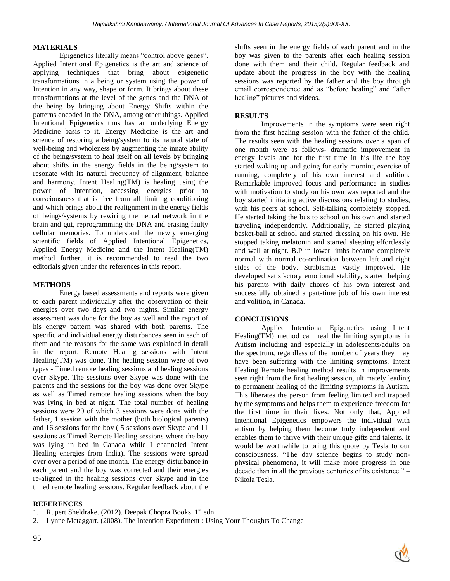#### **MATERIALS**

Epigenetics literally means "control above genes". Applied Intentional Epigenetics is the art and science of applying techniques that bring about epigenetic transformations in a being or system using the power of Intention in any way, shape or form. It brings about these transformations at the level of the genes and the DNA of the being by bringing about Energy Shifts within the patterns encoded in the DNA, among other things. Applied Intentional Epigenetics thus has an underlying Energy Medicine basis to it. Energy Medicine is the art and science of restoring a being/system to its natural state of well-being and wholeness by augmenting the innate ability of the being/system to heal itself on all levels by bringing about shifts in the energy fields in the being/system to resonate with its natural frequency of alignment, balance and harmony. Intent Healing(TM) is healing using the power of Intention, accessing energies prior to consciousness that is free from all limiting conditioning and which brings about the realignment in the energy fields of beings/systems by rewiring the neural network in the brain and gut, reprogramming the DNA and erasing faulty cellular memories. To understand the newly emerging scientific fields of Applied Intentional Epigenetics, Applied Energy Medicine and the Intent Healing(TM) method further, it is recommended to read the two editorials given under the references in this report.

#### **METHODS**

Energy based assessments and reports were given to each parent individually after the observation of their energies over two days and two nights. Similar energy assessment was done for the boy as well and the report of his energy pattern was shared with both parents. The specific and individual energy disturbances seen in each of them and the reasons for the same was explained in detail in the report. Remote Healing sessions with Intent Healing(TM) was done. The healing session were of two types - Timed remote healing sessions and healing sessions over Skype. The sessions over Skype was done with the parents and the sessions for the boy was done over Skype as well as Timed remote healing sessions when the boy was lying in bed at night. The total number of healing sessions were 20 of which 3 sessions were done with the father, 1 session with the mother (both biological parents) and 16 sessions for the boy ( 5 sessions over Skype and 11 sessions as Timed Remote Healing sessions where the boy was lying in bed in Canada while I channeled Intent Healing energies from India). The sessions were spread over over a period of one month. The energy disturbance in each parent and the boy was corrected and their energies re-aligned in the healing sessions over Skype and in the timed remote healing sessions. Regular feedback about the shifts seen in the energy fields of each parent and in the boy was given to the parents after each healing session done with them and their child. Regular feedback and update about the progress in the boy with the healing sessions was reported by the father and the boy through email correspondence and as "before healing" and "after healing" pictures and videos.

#### **RESULTS**

Improvements in the symptoms were seen right from the first healing session with the father of the child. The results seen with the healing sessions over a span of one month were as follows- dramatic improvement in energy levels and for the first time in his life the boy started waking up and going for early morning exercise of running, completely of his own interest and volition. Remarkable improved focus and performance in studies with motivation to study on his own was reported and the boy started initiating active discussions relating to studies, with his peers at school. Self-talking completely stopped. He started taking the bus to school on his own and started traveling independently. Additionally, he started playing basket-ball at school and started dressing on his own. He stopped taking melatonin and started sleeping effortlessly and well at night. B.P in lower limbs became completely normal with normal co-ordination between left and right sides of the body. Strabismus vastly improved. He developed satisfactory emotional stability, started helping his parents with daily chores of his own interest and successfully obtained a part-time job of his own interest and volition, in Canada.

#### **CONCLUSIONS**

Applied Intentional Epigenetics using Intent Healing(TM) method can heal the limiting symptoms in Autism including and especially in adolescents/adults on the spectrum, regardless of the number of years they may have been suffering with the limiting symptoms. Intent Healing Remote healing method results in improvements seen right from the first healing session, ultimately leading to permanent healing of the limiting symptoms in Autism. This liberates the person from feeling limited and trapped by the symptoms and helps them to experience freedom for the first time in their lives. Not only that, Applied Intentional Epigenetics empowers the individual with autism by helping them become truly independent and enables them to thrive with their unique gifts and talents. It would be worthwhile to bring this quote by Tesla to our consciousness. "The day science begins to study nonphysical phenomena, it will make more progress in one decade than in all the previous centuries of its existence." – Nikola Tesla.

#### **REFERENCES**

- 1. Rupert Sheldrake. (2012). Deepak Chopra Books. 1<sup>st</sup> edn.
- 2. Lynne Mctaggart. (2008). The Intention Experiment : Using Your Thoughts To Change